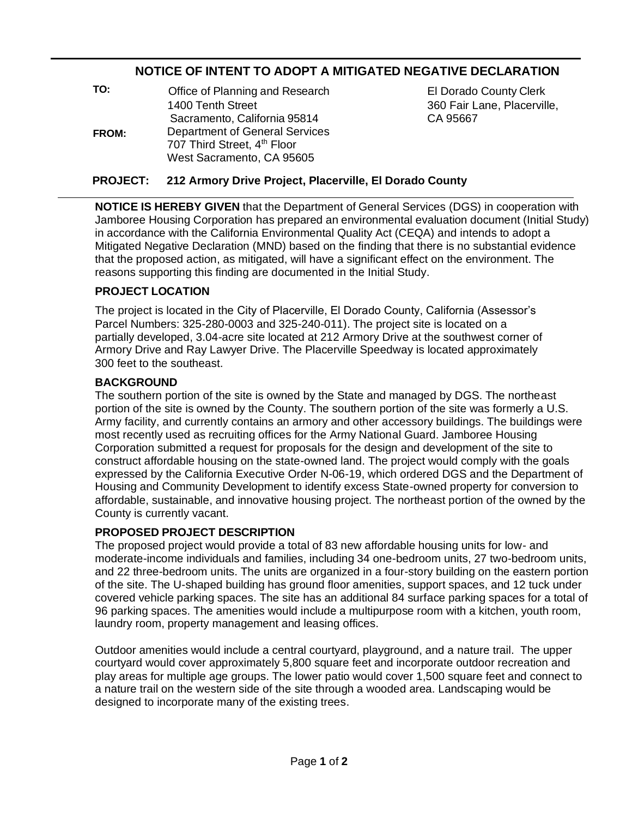# **NOTICE OF INTENT TO ADOPT A MITIGATED NEGATIVE DECLARATION**

| TO:   | Office of Planning and Research       |
|-------|---------------------------------------|
| FROM: | 1400 Tenth Street                     |
|       | Sacramento, California 95814          |
|       | <b>Department of General Services</b> |
|       | 707 Third Street, 4th Floor           |
|       | West Sacramento, CA 95605             |

**EI Dorado County Clerk** 360 Fair Lane, Placerville, CA 95667

# **PROJECT: 212 Armory Drive Project, Placerville, El Dorado County**

**NOTICE IS HEREBY GIVEN** that the Department of General Services (DGS) in cooperation with Jamboree Housing Corporation has prepared an environmental evaluation document (Initial Study) in accordance with the California Environmental Quality Act (CEQA) and intends to adopt a Mitigated Negative Declaration (MND) based on the finding that there is no substantial evidence that the proposed action, as mitigated, will have a significant effect on the environment. The reasons supporting this finding are documented in the Initial Study.

# **PROJECT LOCATION**

The project is located in the City of Placerville, El Dorado County, California (Assessor's Parcel Numbers: 325-280-0003 and 325-240-011). The project site is located on a partially developed, 3.04-acre site located at 212 Armory Drive at the southwest corner of Armory Drive and Ray Lawyer Drive. The Placerville Speedway is located approximately 300 feet to the southeast.

#### **BACKGROUND**

The southern portion of the site is owned by the State and managed by DGS. The northeast portion of the site is owned by the County. The southern portion of the site was formerly a U.S. Army facility, and currently contains an armory and other accessory buildings. The buildings were most recently used as recruiting offices for the Army National Guard. Jamboree Housing Corporation submitted a request for proposals for the design and development of the site to construct affordable housing on the state-owned land. The project would comply with the goals expressed by the California Executive Order N-06-19, which ordered DGS and the Department of Housing and Community Development to identify excess State-owned property for conversion to affordable, sustainable, and innovative housing project. The northeast portion of the owned by the County is currently vacant.

#### **PROPOSED PROJECT DESCRIPTION**

The proposed project would provide a total of 83 new affordable housing units for low- and moderate-income individuals and families, including 34 one-bedroom units, 27 two-bedroom units, and 22 three-bedroom units. The units are organized in a four-story building on the eastern portion of the site. The U-shaped building has ground floor amenities, support spaces, and 12 tuck under covered vehicle parking spaces. The site has an additional 84 surface parking spaces for a total of 96 parking spaces. The amenities would include a multipurpose room with a kitchen, youth room, laundry room, property management and leasing offices.

Outdoor amenities would include a central courtyard, playground, and a nature trail. The upper courtyard would cover approximately 5,800 square feet and incorporate outdoor recreation and play areas for multiple age groups. The lower patio would cover 1,500 square feet and connect to a nature trail on the western side of the site through a wooded area. Landscaping would be designed to incorporate many of the existing trees.